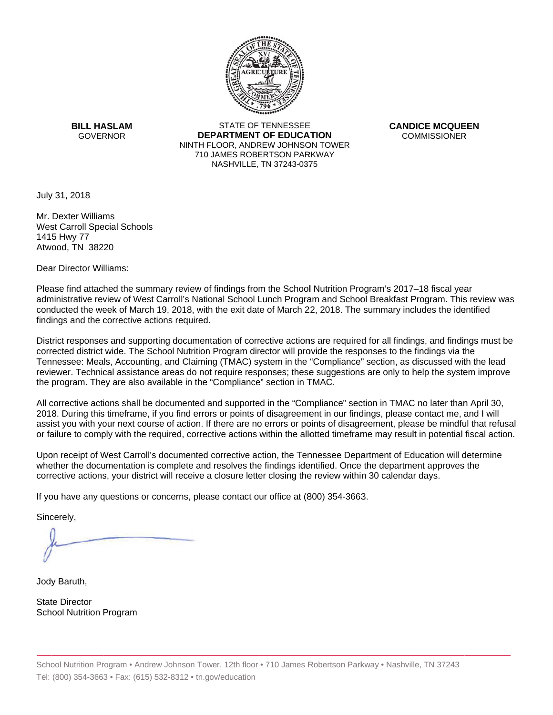

**BILL HASLAM** GOVERNOR **DEI** 

STATE OF TENNESSEE **EPARTMENT OF EDUCATION** NINTH FLOOR, ANDREW JOHNSON TOWER 710 JAMES ROBERTSON PARKWAY NASHVILLE,TN 37243-0375

**CANDICE MCQUEEN** CO OMMISSIONER

July 31, 2018

Mr. Dexter Williams West Carroll Special Schools 1415 Hwy 77 Atwood, TN 38220

Dear Director Williams:

Please find attached the summary review of findings from the School Nutrition Program's 2017–18 fiscal year administrative review of West Carroll's National School Lunch Program and School Breakfast Program. This review was conducted the week of March 19, 2018, with the exit date of March 22, 2018. The summary includes the identified findings and the corrective actions required.

Tennessee: Meals, Accounting, and Claiming (TMAC) system in the "Compliance" section, as discussed with the lead District responses and supporting documentation of corrective actions are required for all findings, and findings must be corrected district wide. The School Nutrition Program director will provide the responses to the findings via the reviewer. Technical assistance areas do not require responses; these suggestions are only to help the system improve the program. They are also available in the "Compliance" section in TMAC.

All corrective actions shall be documented and supported in the "Compliance" section in TMAC no later than April 30, 2018. During this timeframe, if you find errors or points of disagreement in our findings, please contact me, and I will assist you with your next course of action. If there are no errors or points of disagreement, please be mindful that refusal or failure to comply with the required, corrective actions within the allotted timeframe may result in potential fiscal action.

Upon receipt of West Carroll's documented corrective action, the Tennessee Department of Education will determine whether the documentation is complete and resolves the findings identified. Once the department approves the corrective actions, your district will receive a closure letter closing the review within 30 calendar days.

If you have any questions or concerns, please contact our office at (800) 354-3663.

Sincerely,

Jody Baruth,

State Director School Nutrition Program